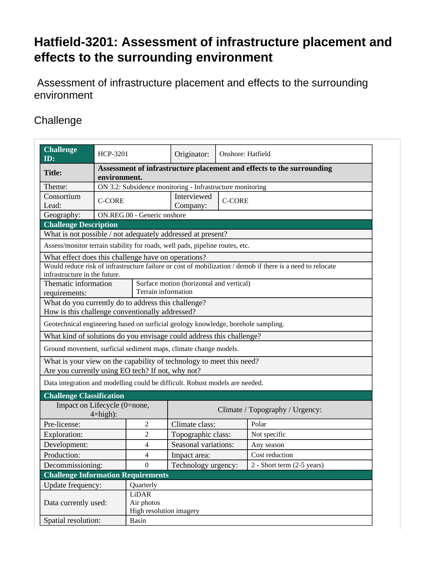## **Hatfield-3201: Assessment of infrastructure placement and effects to the surrounding environment**

 Assessment of infrastructure placement and effects to the surrounding environment

## **Challenge**

| <b>Challenge</b>                                                                                       |                                                                                       |                                                                 |                                 | Onshore: Hatfield |                                                                                                            |  |
|--------------------------------------------------------------------------------------------------------|---------------------------------------------------------------------------------------|-----------------------------------------------------------------|---------------------------------|-------------------|------------------------------------------------------------------------------------------------------------|--|
| ID:                                                                                                    | HCP-3201                                                                              |                                                                 | Originator:                     |                   |                                                                                                            |  |
| <b>Title:</b>                                                                                          | Assessment of infrastructure placement and effects to the surrounding<br>environment. |                                                                 |                                 |                   |                                                                                                            |  |
| Theme:                                                                                                 | ON 3.2: Subsidence monitoring - Infrastructure monitoring                             |                                                                 |                                 |                   |                                                                                                            |  |
| Consortium<br>Lead:                                                                                    | <b>C-CORE</b>                                                                         |                                                                 | Interviewed<br>Company:         | <b>C-CORE</b>     |                                                                                                            |  |
| Geography:                                                                                             | ON.REG.00 - Generic onshore                                                           |                                                                 |                                 |                   |                                                                                                            |  |
| <b>Challenge Description</b>                                                                           |                                                                                       |                                                                 |                                 |                   |                                                                                                            |  |
| What is not possible / not adequately addressed at present?                                            |                                                                                       |                                                                 |                                 |                   |                                                                                                            |  |
| Assess/monitor terrain stability for roads, well pads, pipeline routes, etc.                           |                                                                                       |                                                                 |                                 |                   |                                                                                                            |  |
| What effect does this challenge have on operations?                                                    |                                                                                       |                                                                 |                                 |                   |                                                                                                            |  |
|                                                                                                        |                                                                                       |                                                                 |                                 |                   | Would reduce risk of infrastructure failure or cost of mobilization / demob if there is a need to relocate |  |
| infrastructure in the future.                                                                          |                                                                                       |                                                                 |                                 |                   |                                                                                                            |  |
| Thematic information                                                                                   |                                                                                       | Surface motion (horizontal and vertical)<br>Terrain information |                                 |                   |                                                                                                            |  |
| requirements:                                                                                          |                                                                                       |                                                                 |                                 |                   |                                                                                                            |  |
| What do you currently do to address this challenge?<br>How is this challenge conventionally addressed? |                                                                                       |                                                                 |                                 |                   |                                                                                                            |  |
| Geotechnical engineering based on surficial geology knowledge, borehole sampling.                      |                                                                                       |                                                                 |                                 |                   |                                                                                                            |  |
| What kind of solutions do you envisage could address this challenge?                                   |                                                                                       |                                                                 |                                 |                   |                                                                                                            |  |
| Ground movement, surficial sediment maps, climate change models.                                       |                                                                                       |                                                                 |                                 |                   |                                                                                                            |  |
| What is your view on the capability of technology to meet this need?                                   |                                                                                       |                                                                 |                                 |                   |                                                                                                            |  |
| Are you currently using EO tech? If not, why not?                                                      |                                                                                       |                                                                 |                                 |                   |                                                                                                            |  |
| Data integration and modelling could be difficult. Robust models are needed.                           |                                                                                       |                                                                 |                                 |                   |                                                                                                            |  |
| <b>Challenge Classification</b>                                                                        |                                                                                       |                                                                 |                                 |                   |                                                                                                            |  |
| Impact on Lifecycle (0=none,                                                                           |                                                                                       |                                                                 |                                 |                   |                                                                                                            |  |
| $4 = high$ :                                                                                           |                                                                                       |                                                                 | Climate / Topography / Urgency: |                   |                                                                                                            |  |
| Pre-license:                                                                                           |                                                                                       | $\overline{2}$                                                  | Climate class:                  |                   | Polar                                                                                                      |  |
| <b>Exploration:</b>                                                                                    |                                                                                       | 2                                                               | Topographic class:              |                   | Not specific                                                                                               |  |
| Development:                                                                                           |                                                                                       | 4                                                               | Seasonal variations:            |                   | Any season                                                                                                 |  |
| Production:                                                                                            |                                                                                       | 4                                                               | Impact area:                    |                   | Cost reduction                                                                                             |  |
| Decommissioning:                                                                                       |                                                                                       | $\boldsymbol{0}$                                                | Technology urgency:             |                   | 2 - Short term (2-5 years)                                                                                 |  |
| <b>Challenge Information Requirements</b>                                                              |                                                                                       |                                                                 |                                 |                   |                                                                                                            |  |
| Update frequency:                                                                                      |                                                                                       | Quarterly                                                       |                                 |                   |                                                                                                            |  |
|                                                                                                        |                                                                                       | <b>LiDAR</b>                                                    |                                 |                   |                                                                                                            |  |
| Data currently used:                                                                                   |                                                                                       | Air photos                                                      |                                 |                   |                                                                                                            |  |
|                                                                                                        | High resolution imagery                                                               |                                                                 |                                 |                   |                                                                                                            |  |
| Spatial resolution:                                                                                    | Basin                                                                                 |                                                                 |                                 |                   |                                                                                                            |  |